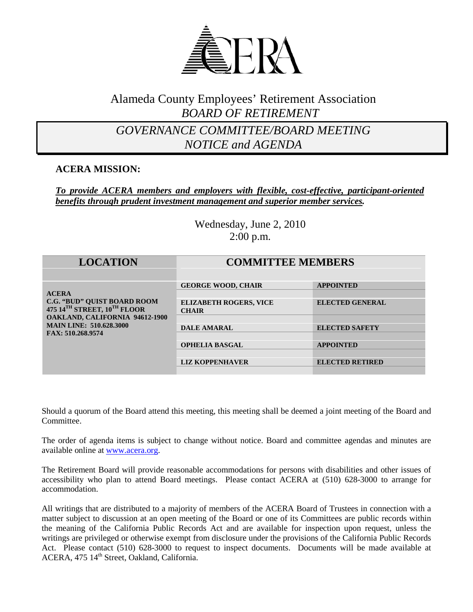

## Alameda County Employees' Retirement Association *BOARD OF RETIREMENT*

## *GOVERNANCE COMMITTEE/BOARD MEETING NOTICE and AGENDA*

### **ACERA MISSION:**

#### *To provide ACERA members and employers with flexible, cost-effective, participant-oriented benefits through prudent investment management and superior member services.*

Wednesday, June 2, 2010 2:00 p.m.

| <b>LOCATION</b>                                                                                                                       | <b>COMMITTEE MEMBERS</b>                      |                        |
|---------------------------------------------------------------------------------------------------------------------------------------|-----------------------------------------------|------------------------|
|                                                                                                                                       | <b>GEORGE WOOD, CHAIR</b>                     | <b>APPOINTED</b>       |
| <b>ACERA</b>                                                                                                                          |                                               |                        |
| <b>C.G. "BUD" QUIST BOARD ROOM</b><br>475 14TH STREET, 10TH FLOOR<br>OAKLAND, CALIFORNIA 94612-1900<br><b>MAIN LINE: 510.628.3000</b> | <b>ELIZABETH ROGERS, VICE</b><br><b>CHAIR</b> | <b>ELECTED GENERAL</b> |
|                                                                                                                                       |                                               |                        |
|                                                                                                                                       | <b>DALE AMARAL</b>                            | <b>ELECTED SAFETY</b>  |
| FAX: 510.268.9574                                                                                                                     |                                               |                        |
|                                                                                                                                       | <b>OPHELIA BASGAL</b>                         | <b>APPOINTED</b>       |
|                                                                                                                                       |                                               |                        |
|                                                                                                                                       | <b>LIZ KOPPENHAVER</b>                        | <b>ELECTED RETIRED</b> |
|                                                                                                                                       |                                               |                        |

Should a quorum of the Board attend this meeting, this meeting shall be deemed a joint meeting of the Board and Committee.

The order of agenda items is subject to change without notice. Board and committee agendas and minutes are available online at [www.acera.org.](http://www.acera.org/)

The Retirement Board will provide reasonable accommodations for persons with disabilities and other issues of accessibility who plan to attend Board meetings. Please contact ACERA at (510) 628-3000 to arrange for accommodation.

All writings that are distributed to a majority of members of the ACERA Board of Trustees in connection with a matter subject to discussion at an open meeting of the Board or one of its Committees are public records within the meaning of the California Public Records Act and are available for inspection upon request, unless the writings are privileged or otherwise exempt from disclosure under the provisions of the California Public Records Act. Please contact (510) 628-3000 to request to inspect documents. Documents will be made available at ACERA, 475 14<sup>th</sup> Street, Oakland, California.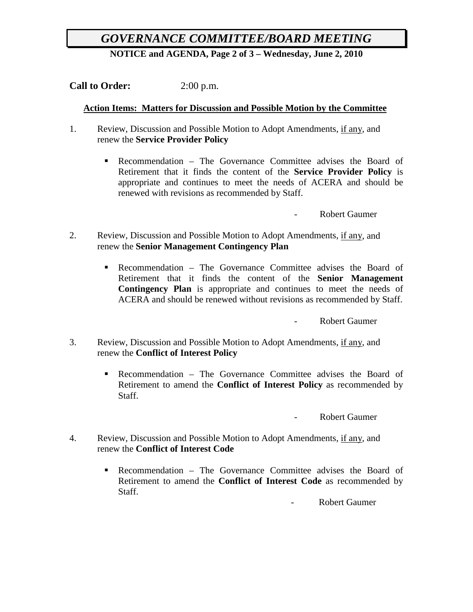# *GOVERNANCE COMMITTEE/BOARD MEETING*

**NOTICE and AGENDA, Page 2 of 3 – Wednesday, June 2, 2010**

**Call to Order:** 2:00 p.m.

#### **Action Items: Matters for Discussion and Possible Motion by the Committee**

- 1. Review, Discussion and Possible Motion to Adopt Amendments, if any, and renew the **Service Provider Policy**
	- Recommendation The Governance Committee advises the Board of Retirement that it finds the content of the **Service Provider Policy** is appropriate and continues to meet the needs of ACERA and should be renewed with revisions as recommended by Staff.

- Robert Gaumer

- 2. Review, Discussion and Possible Motion to Adopt Amendments, if any, and renew the **Senior Management Contingency Plan**
	- Recommendation The Governance Committee advises the Board of Retirement that it finds the content of the **Senior Management Contingency Plan** is appropriate and continues to meet the needs of ACERA and should be renewed without revisions as recommended by Staff.

- Robert Gaumer

- 3. Review, Discussion and Possible Motion to Adopt Amendments, if any, and renew the **Conflict of Interest Policy**
	- **Recommendation The Governance Committee advises the Board of** Retirement to amend the **Conflict of Interest Policy** as recommended by Staff.

- Robert Gaumer

- 4. Review, Discussion and Possible Motion to Adopt Amendments, if any, and renew the **Conflict of Interest Code**
	- Recommendation The Governance Committee advises the Board of Retirement to amend the **Conflict of Interest Code** as recommended by Staff.

Robert Gaumer